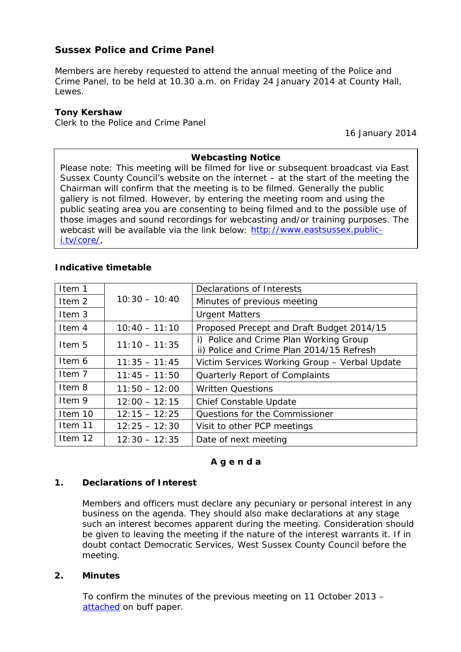# **Sussex Police and Crime Panel**

Members are hereby requested to attend the annual meeting of the Police and Crime Panel, to be held at 10.30 a.m. on Friday 24 January 2014 at County Hall, Lewes.

## **Tony Kershaw**

Clerk to the Police and Crime Panel

16 January 2014

### **Webcasting Notice**

Please note: This meeting will be filmed for live or subsequent broadcast via East Sussex County Council's website on the internet – at the start of the meeting the Chairman will confirm that the meeting is to be filmed. Generally the public gallery is not filmed. However, by entering the meeting room and using the public seating area you are consenting to being filmed and to the possible use of those images and sound recordings for webcasting and/or training purposes. The webcast will be available via the link below: [http://www.eastsussex.public](http://www.eastsussex.public-i.tv/core/)[i.tv/core/,](http://www.eastsussex.public-i.tv/core/)

### **Indicative timetable**

| Item 1            |                 | Declarations of Interests                                                           |
|-------------------|-----------------|-------------------------------------------------------------------------------------|
| Item <sub>2</sub> | $10:30 - 10:40$ | Minutes of previous meeting                                                         |
| Item 3            |                 | <b>Urgent Matters</b>                                                               |
| Item 4            | $10:40 - 11:10$ | Proposed Precept and Draft Budget 2014/15                                           |
| Item 5            | $11:10 - 11:35$ | i) Police and Crime Plan Working Group<br>ii) Police and Crime Plan 2014/15 Refresh |
| Item 6            | $11:35 - 11:45$ | Victim Services Working Group - Verbal Update                                       |
| Item 7            | $11:45 - 11:50$ | Quarterly Report of Complaints                                                      |
| Item 8            | $11:50 - 12:00$ | <b>Written Questions</b>                                                            |
| Item 9            | $12:00 - 12:15$ | Chief Constable Update                                                              |
| Item 10           | $12:15 - 12:25$ | Questions for the Commissioner                                                      |
| Item 11           | $12:25 - 12:30$ | Visit to other PCP meetings                                                         |
| Item 12           | $12:30 - 12:35$ | Date of next meeting                                                                |

#### **A g e n d a**

#### **1. Declarations of Interest**

Members and officers must declare any pecuniary or personal interest in any business on the agenda. They should also make declarations at any stage such an interest becomes apparent during the meeting. Consideration should be given to leaving the meeting if the nature of the interest warrants it. If in doubt contact Democratic Services, West Sussex County Council before the meeting.

#### **2. Minutes**

To confirm the minutes of the previous meeting on 11 October 2013 – [attached](http://www2.westsussex.gov.uk/ds/cttee/pcp/pcp240114i2.pdf) on *buff* paper.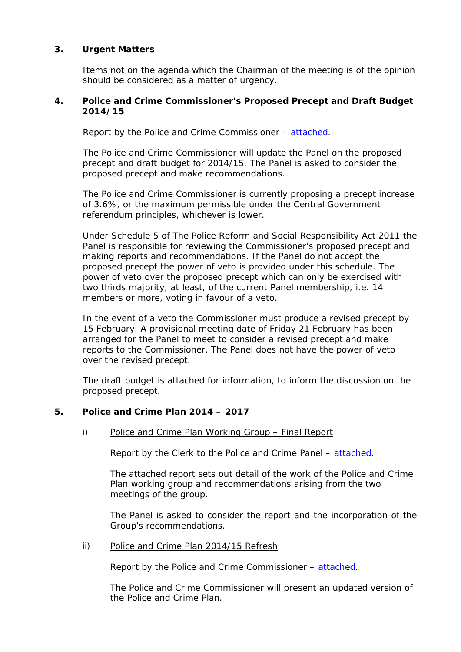# **3. Urgent Matters**

Items not on the agenda which the Chairman of the meeting is of the opinion should be considered as a matter of urgency.

### **4. Police and Crime Commissioner's Proposed Precept and Draft Budget 2014/15**

Report by the Police and Crime Commissioner – [attached.](http://www2.westsussex.gov.uk/ds/cttee/pcp/pcp240114i4.pdf)

The Police and Crime Commissioner will update the Panel on the proposed precept and draft budget for 2014/15. The Panel is asked to consider the proposed precept and make recommendations.

The Police and Crime Commissioner is currently proposing a precept increase of 3.6%, or the maximum permissible under the Central Government referendum principles, whichever is lower.

Under Schedule 5 of The Police Reform and Social Responsibility Act 2011 the Panel is responsible for reviewing the Commissioner's proposed precept and making reports and recommendations. If the Panel do not accept the proposed precept the power of veto is provided under this schedule. The power of veto over the proposed precept which can only be exercised with two thirds majority, at least, of the current Panel membership, i.e. 14 members or more, voting in favour of a veto.

In the event of a veto the Commissioner must produce a revised precept by 15 February. A provisional meeting date of Friday 21 February has been arranged for the Panel to meet to consider a revised precept and make reports to the Commissioner. The Panel does not have the power of veto over the revised precept.

The draft budget is attached for information, to inform the discussion on the proposed precept.

# **5. Police and Crime Plan 2014 – 2017**

i) Police and Crime Plan Working Group – Final Report

Report by the Clerk to the Police and Crime Panel – [attached.](http://www2.westsussex.gov.uk/ds/cttee/pcp/pcp240114i5i.pdf)

The attached report sets out detail of the work of the Police and Crime Plan working group and recommendations arising from the two meetings of the group.

The Panel is asked to consider the report and the incorporation of the Group's recommendations.

ii) Police and Crime Plan 2014/15 Refresh

Report by the Police and Crime Commissioner – [attached.](http://www2.westsussex.gov.uk/ds/cttee/pcp/pcp240114i5ii.pdf)

The Police and Crime Commissioner will present an updated version of the Police and Crime Plan.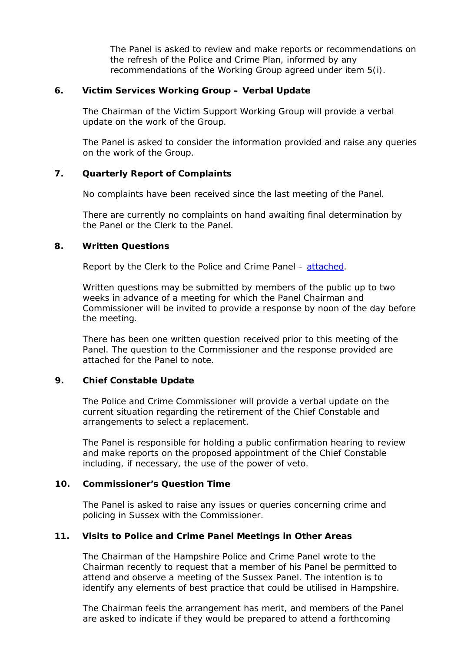The Panel is asked to review and make reports or recommendations on the refresh of the Police and Crime Plan, informed by any recommendations of the Working Group agreed under item 5(i).

### **6. Victim Services Working Group – Verbal Update**

The Chairman of the Victim Support Working Group will provide a verbal update on the work of the Group.

The Panel is asked to consider the information provided and raise any queries on the work of the Group.

# **7. Quarterly Report of Complaints**

No complaints have been received since the last meeting of the Panel.

There are currently no complaints on hand awaiting final determination by the Panel or the Clerk to the Panel.

#### **8. Written Questions**

Report by the Clerk to the Police and Crime Panel – [attached.](http://www2.westsussex.gov.uk/ds/cttee/pcp/pcp240114i8.pdf)

Written questions may be submitted by members of the public up to two weeks in advance of a meeting for which the Panel Chairman and Commissioner will be invited to provide a response by noon of the day before the meeting.

There has been one written question received prior to this meeting of the Panel. The question to the Commissioner and the response provided are attached for the Panel to note.

# **9. Chief Constable Update**

The Police and Crime Commissioner will provide a verbal update on the current situation regarding the retirement of the Chief Constable and arrangements to select a replacement.

The Panel is responsible for holding a public confirmation hearing to review and make reports on the proposed appointment of the Chief Constable including, if necessary, the use of the power of veto.

#### **10. Commissioner's Question Time**

The Panel is asked to raise any issues or queries concerning crime and policing in Sussex with the Commissioner.

# **11. Visits to Police and Crime Panel Meetings in Other Areas**

The Chairman of the Hampshire Police and Crime Panel wrote to the Chairman recently to request that a member of his Panel be permitted to attend and observe a meeting of the Sussex Panel. The intention is to identify any elements of best practice that could be utilised in Hampshire.

The Chairman feels the arrangement has merit, and members of the Panel are asked to indicate if they would be prepared to attend a forthcoming